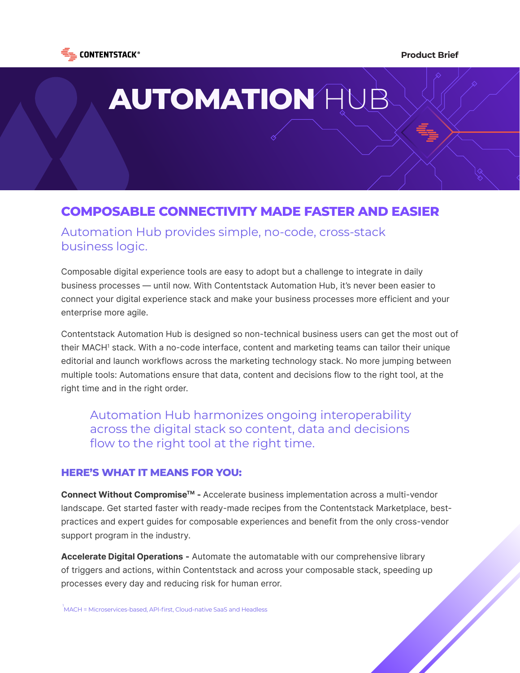

### **Product Brief**

# **AUTOMATION** HUB

## **COMPOSABLE CONNECTIVITY MADE FASTER AND EASIER**

Automation Hub provides simple, no-code, cross-stack business logic.

Composable digital experience tools are easy to adopt but a challenge to integrate in daily business processes — until now. With Contentstack Automation Hub, it's never been easier to connect your digital experience stack and make your business processes more efficient and your enterprise more agile.

Contentstack Automation Hub is designed so non-technical business users can get the most out of their MACH1 stack. With a no-code interface, content and marketing teams can tailor their unique editorial and launch workflows across the marketing technology stack. No more jumping between multiple tools: Automations ensure that data, content and decisions flow to the right tool, at the right time and in the right order.

Automation Hub harmonizes ongoing interoperability across the digital stack so content, data and decisions flow to the right tool at the right time.

## **HERE'S WHAT IT MEANS FOR YOU:**

**Connect Without CompromiseTM -** Accelerate business implementation across a multi-vendor landscape. Get started faster with ready-made recipes from the Contentstack Marketplace, bestpractices and expert guides for composable experiences and benefit from the only cross-vendor support program in the industry.

**Accelerate Digital Operations -** Automate the automatable with our comprehensive library of triggers and actions, within Contentstack and across your composable stack, speeding up processes every day and reducing risk for human error.